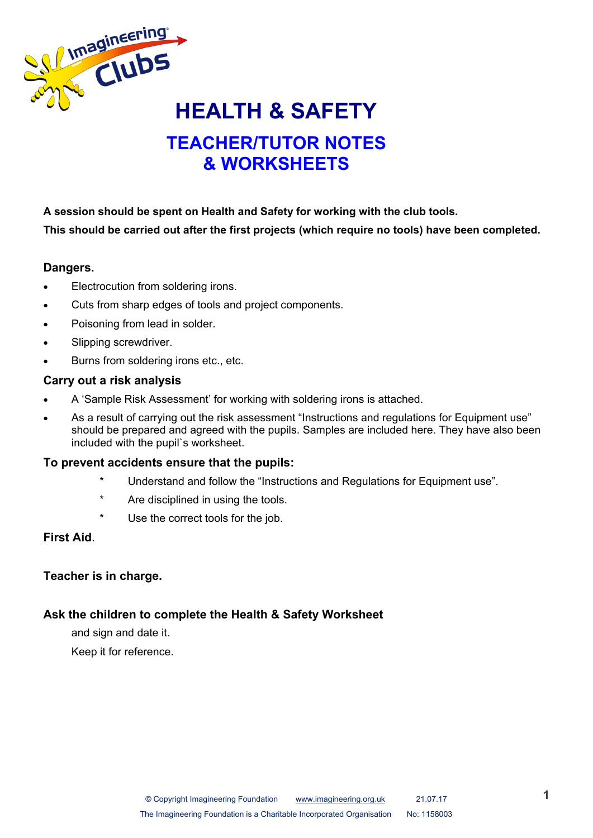

# **TEACHER/TUTOR NOTES & WORKSHEETS**

**A session should be spent on Health and Safety for working with the club tools. This should be carried out after the first projects (which require no tools) have been completed.**

#### **Dangers.**

- Electrocution from soldering irons.
- Cuts from sharp edges of tools and project components.
- Poisoning from lead in solder.
- Slipping screwdriver.
- Burns from soldering irons etc., etc.

#### **Carry out a risk analysis**

- A 'Sample Risk Assessment' for working with soldering irons is attached.
- As a result of carrying out the risk assessment "Instructions and regulations for Equipment use" should be prepared and agreed with the pupils. Samples are included here. They have also been included with the pupil`s worksheet.

#### **To prevent accidents ensure that the pupils:**

- Understand and follow the "Instructions and Regulations for Equipment use".
- Are disciplined in using the tools.
- Use the correct tools for the job.

#### **First Aid**.

#### **Teacher is in charge.**

#### **Ask the children to complete the Health & Safety Worksheet**

and sign and date it.

Keep it for reference.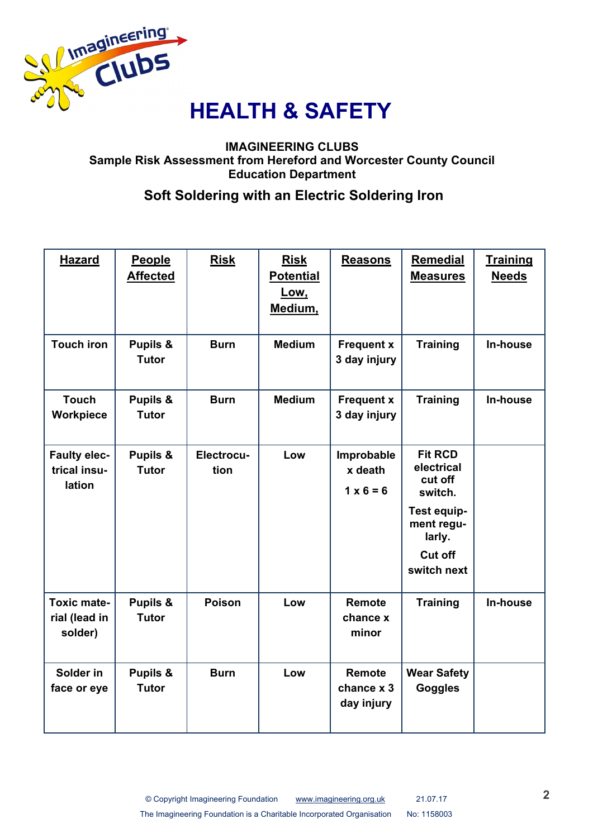

#### **IMAGINEERING CLUBS Sample Risk Assessment from Hereford and Worcester County Council Education Department**

### **Soft Soldering with an Electric Soldering Iron**

| <b>Hazard</b>                                  | <b>People</b><br><b>Affected</b>    | <b>Risk</b>        | <b>Risk</b><br><b>Potential</b><br>Low,<br>Medium, | <b>Reasons</b>                            | <b>Remedial</b><br><b>Measures</b>                                                                                  | <b>Training</b><br><b>Needs</b> |
|------------------------------------------------|-------------------------------------|--------------------|----------------------------------------------------|-------------------------------------------|---------------------------------------------------------------------------------------------------------------------|---------------------------------|
| <b>Touch iron</b>                              | Pupils &<br><b>Tutor</b>            | <b>Burn</b>        | <b>Medium</b>                                      | <b>Frequent x</b><br>3 day injury         | <b>Training</b>                                                                                                     | In-house                        |
| <b>Touch</b><br>Workpiece                      | <b>Pupils &amp;</b><br><b>Tutor</b> | <b>Burn</b>        | <b>Medium</b>                                      | <b>Frequent x</b><br>3 day injury         | <b>Training</b>                                                                                                     | <b>In-house</b>                 |
| <b>Faulty elec-</b><br>trical insu-<br>lation  | Pupils &<br><b>Tutor</b>            | Electrocu-<br>tion | Low                                                | Improbable<br>x death<br>$1 \times 6 = 6$ | <b>Fit RCD</b><br>electrical<br>cut off<br>switch.<br>Test equip-<br>ment regu-<br>larly.<br>Cut off<br>switch next |                                 |
| <b>Toxic mate-</b><br>rial (lead in<br>solder) | Pupils &<br><b>Tutor</b>            | <b>Poison</b>      | Low                                                | <b>Remote</b><br>chance x<br>minor        | <b>Training</b>                                                                                                     | In-house                        |
| Solder in<br>face or eye                       | Pupils &<br><b>Tutor</b>            | <b>Burn</b>        | Low                                                | <b>Remote</b><br>chance x 3<br>day injury | <b>Wear Safety</b><br><b>Goggles</b>                                                                                |                                 |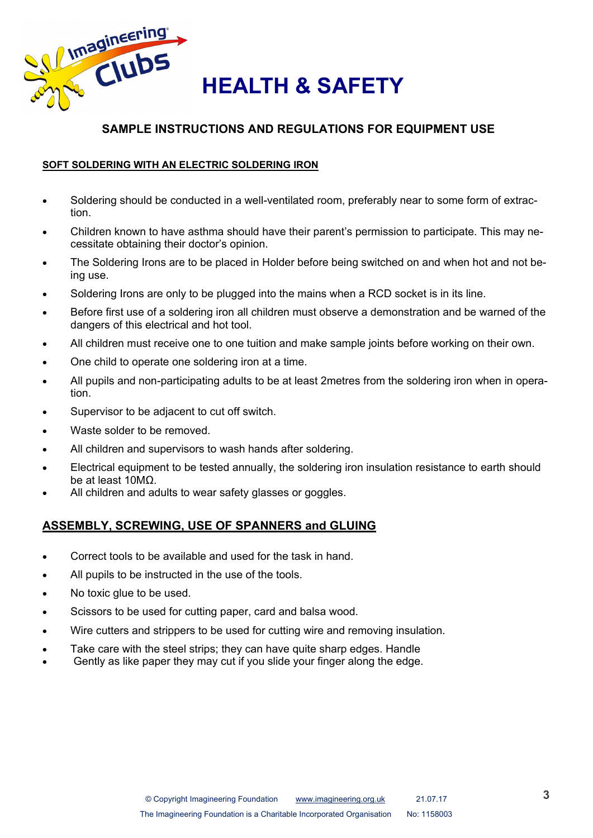

### **SAMPLE INSTRUCTIONS AND REGULATIONS FOR EQUIPMENT USE**

#### **SOFT SOLDERING WITH AN ELECTRIC SOLDERING IRON**

- Soldering should be conducted in a well-ventilated room, preferably near to some form of extraction.
- Children known to have asthma should have their parent's permission to participate. This may necessitate obtaining their doctor's opinion.
- The Soldering Irons are to be placed in Holder before being switched on and when hot and not being use.
- Soldering Irons are only to be plugged into the mains when a RCD socket is in its line.
- Before first use of a soldering iron all children must observe a demonstration and be warned of the dangers of this electrical and hot tool.
- All children must receive one to one tuition and make sample joints before working on their own.
- One child to operate one soldering iron at a time.
- All pupils and non-participating adults to be at least 2metres from the soldering iron when in operation.
- Supervisor to be adjacent to cut off switch.
- Waste solder to be removed.
- All children and supervisors to wash hands after soldering.
- Electrical equipment to be tested annually, the soldering iron insulation resistance to earth should be at least 10MΩ.
- All children and adults to wear safety glasses or goggles.

#### **ASSEMBLY, SCREWING, USE OF SPANNERS and GLUING**

- Correct tools to be available and used for the task in hand.
- All pupils to be instructed in the use of the tools.
- No toxic glue to be used.
- Scissors to be used for cutting paper, card and balsa wood.
- Wire cutters and strippers to be used for cutting wire and removing insulation.
- Take care with the steel strips; they can have quite sharp edges. Handle
- Gently as like paper they may cut if you slide your finger along the edge.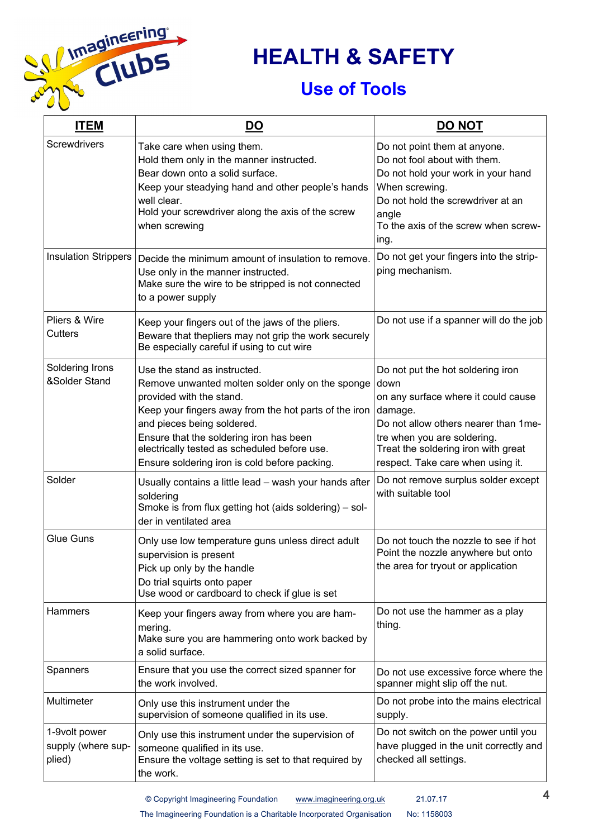

# **HEALTH & SAFETY**

# **Use of Tools**

| <b>ITEM</b>                                   | <b>DO</b>                                                                                                                                                                                                                                                                                                                                       | <b>DO NOT</b>                                                                                                                                                                                                                                   |
|-----------------------------------------------|-------------------------------------------------------------------------------------------------------------------------------------------------------------------------------------------------------------------------------------------------------------------------------------------------------------------------------------------------|-------------------------------------------------------------------------------------------------------------------------------------------------------------------------------------------------------------------------------------------------|
| Screwdrivers                                  | Take care when using them.<br>Hold them only in the manner instructed.<br>Bear down onto a solid surface.<br>Keep your steadying hand and other people's hands<br>well clear.<br>Hold your screwdriver along the axis of the screw<br>when screwing                                                                                             | Do not point them at anyone.<br>Do not fool about with them.<br>Do not hold your work in your hand<br>When screwing.<br>Do not hold the screwdriver at an<br>angle<br>To the axis of the screw when screw-<br>ing.                              |
| Insulation Strippers                          | Decide the minimum amount of insulation to remove.<br>Use only in the manner instructed.<br>Make sure the wire to be stripped is not connected<br>to a power supply                                                                                                                                                                             | Do not get your fingers into the strip-<br>ping mechanism.                                                                                                                                                                                      |
| Pliers & Wire<br>Cutters                      | Keep your fingers out of the jaws of the pliers.<br>Beware that thepliers may not grip the work securely<br>Be especially careful if using to cut wire                                                                                                                                                                                          | Do not use if a spanner will do the job                                                                                                                                                                                                         |
| Soldering Irons<br>&Solder Stand              | Use the stand as instructed.<br>Remove unwanted molten solder only on the sponge<br>provided with the stand.<br>Keep your fingers away from the hot parts of the iron<br>and pieces being soldered.<br>Ensure that the soldering iron has been<br>electrically tested as scheduled before use.<br>Ensure soldering iron is cold before packing. | Do not put the hot soldering iron<br>down<br>on any surface where it could cause<br>damage.<br>Do not allow others nearer than 1 me-<br>tre when you are soldering.<br>Treat the soldering iron with great<br>respect. Take care when using it. |
| Solder                                        | Usually contains a little lead - wash your hands after<br>soldering<br>Smoke is from flux getting hot (aids soldering) - sol-<br>der in ventilated area                                                                                                                                                                                         | Do not remove surplus solder except<br>with suitable tool                                                                                                                                                                                       |
| <b>Glue Guns</b>                              | Only use low temperature guns unless direct adult<br>supervision is present<br>Pick up only by the handle<br>Do trial squirts onto paper<br>Use wood or cardboard to check if glue is set                                                                                                                                                       | Do not touch the nozzle to see if hot<br>Point the nozzle anywhere but onto<br>the area for tryout or application                                                                                                                               |
| Hammers                                       | Keep your fingers away from where you are ham-<br>mering.<br>Make sure you are hammering onto work backed by<br>a solid surface.                                                                                                                                                                                                                | Do not use the hammer as a play<br>thing.                                                                                                                                                                                                       |
| Spanners                                      | Ensure that you use the correct sized spanner for<br>the work involved.                                                                                                                                                                                                                                                                         | Do not use excessive force where the<br>spanner might slip off the nut.                                                                                                                                                                         |
| Multimeter                                    | Only use this instrument under the<br>supervision of someone qualified in its use.                                                                                                                                                                                                                                                              | Do not probe into the mains electrical<br>supply.                                                                                                                                                                                               |
| 1-9volt power<br>supply (where sup-<br>plied) | Only use this instrument under the supervision of<br>someone qualified in its use.<br>Ensure the voltage setting is set to that required by<br>the work.                                                                                                                                                                                        | Do not switch on the power until you<br>have plugged in the unit correctly and<br>checked all settings.                                                                                                                                         |